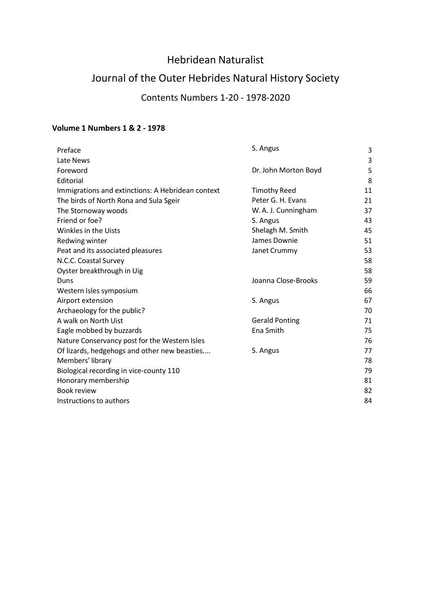# Hebridean Naturalist

# Journal of the Outer Hebrides Natural History Society

## Contents Numbers 1-20 - 1978-2020

#### **Volume 1 Numbers 1 & 2 - 1978**

| Preface                                           | S. Angus              | 3  |
|---------------------------------------------------|-----------------------|----|
| Late News                                         |                       | 3  |
| Foreword                                          | Dr. John Morton Boyd  | 5  |
| Editorial                                         |                       | 8  |
| Immigrations and extinctions: A Hebridean context | <b>Timothy Reed</b>   | 11 |
| The birds of North Rona and Sula Sgeir            | Peter G. H. Evans     | 21 |
| The Stornoway woods                               | W. A. J. Cunningham   | 37 |
| Friend or foe?                                    | S. Angus              | 43 |
| Winkles in the Uists                              | Shelagh M. Smith      | 45 |
| Redwing winter                                    | James Downie          | 51 |
| Peat and its associated pleasures                 | Janet Crummy          | 53 |
| N.C.C. Coastal Survey                             |                       | 58 |
| Oyster breakthrough in Uig                        |                       | 58 |
| Duns                                              | Joanna Close-Brooks   | 59 |
| Western Isles symposium                           |                       | 66 |
| Airport extension                                 | S. Angus              | 67 |
| Archaeology for the public?                       |                       | 70 |
| A walk on North Uist                              | <b>Gerald Ponting</b> | 71 |
| Eagle mobbed by buzzards                          | Ena Smith             | 75 |
| Nature Conservancy post for the Western Isles     |                       | 76 |
| Of lizards, hedgehogs and other new beasties      | S. Angus              | 77 |
| Members' library                                  |                       | 78 |
| Biological recording in vice-county 110           |                       | 79 |
| Honorary membership                               |                       | 81 |
| Book review                                       |                       | 82 |
| Instructions to authors                           |                       | 84 |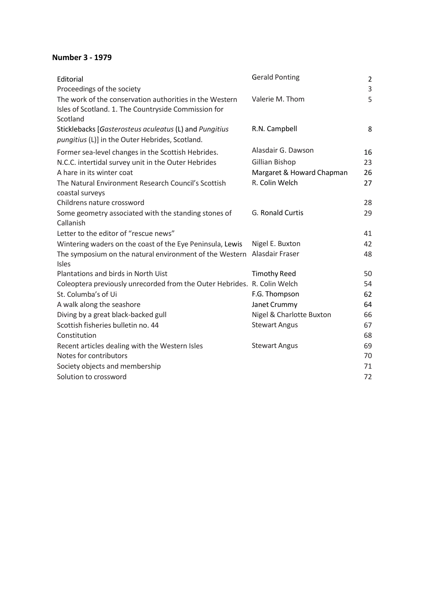### **Number 3 - 1979**

| Editorial<br>Proceedings of the society                                                                                     | <b>Gerald Ponting</b>     | $\overline{2}$<br>3 |
|-----------------------------------------------------------------------------------------------------------------------------|---------------------------|---------------------|
| The work of the conservation authorities in the Western<br>Isles of Scotland. 1. The Countryside Commission for<br>Scotland | Valerie M. Thom           | 5                   |
| Sticklebacks [Gasterosteus aculeatus (L) and Pungitius<br>pungitius (L)] in the Outer Hebrides, Scotland.                   | R.N. Campbell             | 8                   |
| Former sea-level changes in the Scottish Hebrides.                                                                          | Alasdair G. Dawson        | 16                  |
| N.C.C. intertidal survey unit in the Outer Hebrides                                                                         | Gillian Bishop            | 23                  |
| A hare in its winter coat                                                                                                   | Margaret & Howard Chapman | 26                  |
| The Natural Environment Research Council's Scottish<br>coastal surveys                                                      | R. Colin Welch            | 27                  |
| Childrens nature crossword                                                                                                  |                           | 28                  |
| Some geometry associated with the standing stones of<br>Callanish                                                           | G. Ronald Curtis          | 29                  |
| Letter to the editor of "rescue news"                                                                                       |                           | 41                  |
| Wintering waders on the coast of the Eye Peninsula, Lewis                                                                   | Nigel E. Buxton           | 42                  |
| The symposium on the natural environment of the Western<br><b>Isles</b>                                                     | Alasdair Fraser           | 48                  |
| Plantations and birds in North Uist                                                                                         | <b>Timothy Reed</b>       | 50                  |
| Coleoptera previously unrecorded from the Outer Hebrides. R. Colin Welch                                                    |                           | 54                  |
| St. Columba's of Ui                                                                                                         | F.G. Thompson             | 62                  |
| A walk along the seashore                                                                                                   | Janet Crummy              | 64                  |
| Diving by a great black-backed gull                                                                                         | Nigel & Charlotte Buxton  | 66                  |
| Scottish fisheries bulletin no. 44                                                                                          | <b>Stewart Angus</b>      | 67                  |
| Constitution                                                                                                                |                           | 68                  |
| Recent articles dealing with the Western Isles                                                                              | <b>Stewart Angus</b>      | 69                  |
| Notes for contributors                                                                                                      |                           | 70                  |
| Society objects and membership                                                                                              |                           | 71                  |
| Solution to crossword                                                                                                       |                           | 72                  |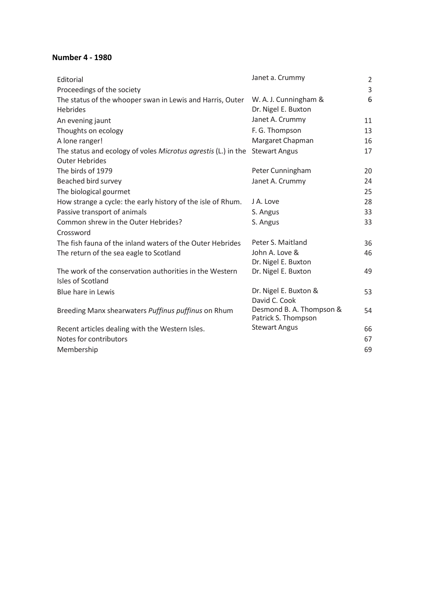#### **Number 4 - 1980**

| Editorial                                                     | Janet a. Crummy                                 | $\overline{2}$ |
|---------------------------------------------------------------|-------------------------------------------------|----------------|
| Proceedings of the society                                    |                                                 | 3              |
| The status of the whooper swan in Lewis and Harris, Outer     | W. A. J. Cunningham &                           | 6              |
| <b>Hebrides</b>                                               | Dr. Nigel E. Buxton                             |                |
| An evening jaunt                                              | Janet A. Crummy                                 | 11             |
| Thoughts on ecology                                           | F. G. Thompson                                  | 13             |
| A lone ranger!                                                | Margaret Chapman                                | 16             |
| The status and ecology of voles Microtus agrestis (L.) in the | <b>Stewart Angus</b>                            | 17             |
| <b>Outer Hebrides</b>                                         |                                                 |                |
| The birds of 1979                                             | Peter Cunningham                                | 20             |
| Beached bird survey                                           | Janet A. Crummy                                 | 24             |
| The biological gourmet                                        |                                                 | 25             |
| How strange a cycle: the early history of the isle of Rhum.   | J A. Love                                       | 28             |
| Passive transport of animals                                  | S. Angus                                        | 33             |
| Common shrew in the Outer Hebrides?                           | S. Angus                                        | 33             |
| Crossword                                                     |                                                 |                |
| The fish fauna of the inland waters of the Outer Hebrides     | Peter S. Maitland                               | 36             |
| The return of the sea eagle to Scotland                       | John A. Love &                                  | 46             |
|                                                               | Dr. Nigel E. Buxton                             |                |
| The work of the conservation authorities in the Western       | Dr. Nigel E. Buxton                             | 49             |
| Isles of Scotland                                             |                                                 |                |
| Blue hare in Lewis                                            | Dr. Nigel E. Buxton &                           | 53             |
|                                                               | David C. Cook                                   |                |
| Breeding Manx shearwaters Puffinus puffinus on Rhum           | Desmond B. A. Thompson &<br>Patrick S. Thompson | 54             |
| Recent articles dealing with the Western Isles.               | <b>Stewart Angus</b>                            | 66             |
| Notes for contributors                                        |                                                 | 67             |
| Membership                                                    |                                                 | 69             |
|                                                               |                                                 |                |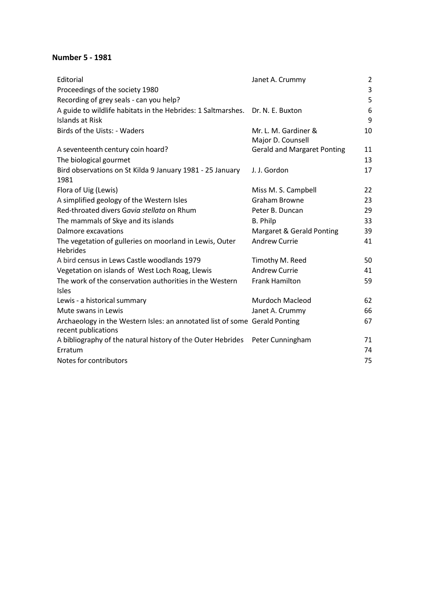#### **Number 5 - 1981**

| Editorial                                                                                         | Janet A. Crummy                    | $\overline{2}$ |
|---------------------------------------------------------------------------------------------------|------------------------------------|----------------|
| Proceedings of the society 1980                                                                   |                                    | 3              |
| Recording of grey seals - can you help?                                                           |                                    | 5              |
| A guide to wildlife habitats in the Hebrides: 1 Saltmarshes.                                      | Dr. N. E. Buxton                   | 6              |
| Islands at Risk                                                                                   |                                    | 9              |
| Birds of the Uists: - Waders                                                                      | Mr. L. M. Gardiner &               | 10             |
|                                                                                                   | Major D. Counsell                  |                |
| A seventeenth century coin hoard?                                                                 | <b>Gerald and Margaret Ponting</b> | 11             |
| The biological gourmet                                                                            |                                    | 13             |
| Bird observations on St Kilda 9 January 1981 - 25 January                                         | J. J. Gordon                       | 17             |
| 1981                                                                                              |                                    |                |
| Flora of Uig (Lewis)                                                                              | Miss M. S. Campbell                | 22             |
| A simplified geology of the Western Isles                                                         | Graham Browne                      | 23             |
| Red-throated divers Gavia stellata on Rhum                                                        | Peter B. Duncan                    | 29             |
| The mammals of Skye and its islands                                                               | <b>B.</b> Philp                    | 33             |
| Dalmore excavations                                                                               | Margaret & Gerald Ponting          | 39             |
| The vegetation of gulleries on moorland in Lewis, Outer                                           | <b>Andrew Currie</b>               | 41             |
| <b>Hebrides</b>                                                                                   |                                    |                |
| A bird census in Lews Castle woodlands 1979                                                       | Timothy M. Reed                    | 50             |
| Vegetation on islands of West Loch Roag, Llewis                                                   | <b>Andrew Currie</b>               | 41             |
| The work of the conservation authorities in the Western                                           | <b>Frank Hamilton</b>              | 59             |
| <b>Isles</b>                                                                                      |                                    |                |
| Lewis - a historical summary                                                                      | Murdoch Macleod                    | 62             |
| Mute swans in Lewis                                                                               | Janet A. Crummy                    | 66             |
| Archaeology in the Western Isles: an annotated list of some Gerald Ponting<br>recent publications |                                    | 67             |
| A bibliography of the natural history of the Outer Hebrides                                       | Peter Cunningham                   | 71             |
| Erratum                                                                                           |                                    | 74             |
| Notes for contributors                                                                            |                                    | 75             |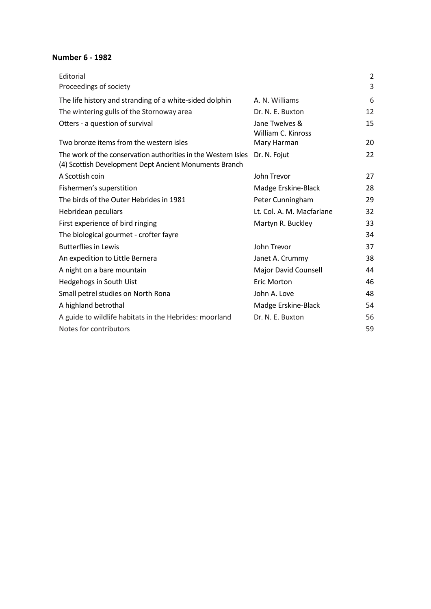#### **Number 6 - 1982**

| Editorial                                                                                                               |                                      | $\overline{2}$ |
|-------------------------------------------------------------------------------------------------------------------------|--------------------------------------|----------------|
| Proceedings of society                                                                                                  |                                      | 3              |
| The life history and stranding of a white-sided dolphin                                                                 | A. N. Williams                       | 6              |
| The wintering gulls of the Stornoway area                                                                               | Dr. N. E. Buxton                     | 12             |
| Otters - a question of survival                                                                                         | Jane Twelves &<br>William C. Kinross | 15             |
| Two bronze items from the western isles                                                                                 | Mary Harman                          | 20             |
| The work of the conservation authorities in the Western Isles<br>(4) Scottish Development Dept Ancient Monuments Branch | Dr. N. Fojut                         | 22             |
| A Scottish coin                                                                                                         | John Trevor                          | 27             |
| Fishermen's superstition                                                                                                | Madge Erskine-Black                  | 28             |
| The birds of the Outer Hebrides in 1981                                                                                 | Peter Cunningham                     | 29             |
| Hebridean peculiars                                                                                                     | Lt. Col. A. M. Macfarlane            | 32             |
| First experience of bird ringing                                                                                        | Martyn R. Buckley                    | 33             |
| The biological gourmet - crofter fayre                                                                                  |                                      | 34             |
| <b>Butterflies in Lewis</b>                                                                                             | John Trevor                          | 37             |
| An expedition to Little Bernera                                                                                         | Janet A. Crummy                      | 38             |
| A night on a bare mountain                                                                                              | Major David Counsell                 | 44             |
| Hedgehogs in South Uist                                                                                                 | <b>Eric Morton</b>                   | 46             |
| Small petrel studies on North Rona                                                                                      | John A. Love                         | 48             |
| A highland betrothal                                                                                                    | Madge Erskine-Black                  | 54             |
| A guide to wildlife habitats in the Hebrides: moorland                                                                  | Dr. N. E. Buxton                     | 56             |
| Notes for contributors                                                                                                  |                                      | 59             |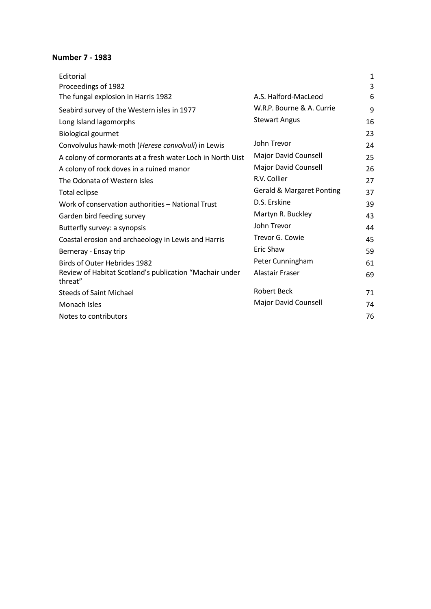#### **Number 7 - 1983**

| Editorial                                                          |                                      | 1  |
|--------------------------------------------------------------------|--------------------------------------|----|
| Proceedings of 1982                                                |                                      | 3  |
| The fungal explosion in Harris 1982                                | A.S. Halford-MacLeod                 | 6  |
| Seabird survey of the Western isles in 1977                        | W.R.P. Bourne & A. Currie            | 9  |
| Long Island lagomorphs                                             | <b>Stewart Angus</b>                 | 16 |
| <b>Biological gourmet</b>                                          |                                      | 23 |
| Convolvulus hawk-moth (Herese convolvuli) in Lewis                 | John Trevor                          | 24 |
| A colony of cormorants at a fresh water Loch in North Uist         | Major David Counsell                 | 25 |
| A colony of rock doves in a ruined manor                           | Major David Counsell                 | 26 |
| The Odonata of Western Isles                                       | R.V. Collier                         | 27 |
| Total eclipse                                                      | <b>Gerald &amp; Margaret Ponting</b> | 37 |
| Work of conservation authorities - National Trust                  | D.S. Erskine                         | 39 |
| Garden bird feeding survey                                         | Martyn R. Buckley                    | 43 |
| Butterfly survey: a synopsis                                       | John Trevor                          | 44 |
| Coastal erosion and archaeology in Lewis and Harris                | Trevor G. Cowie                      | 45 |
| Berneray - Ensay trip                                              | Eric Shaw                            | 59 |
| <b>Birds of Outer Hebrides 1982</b>                                | Peter Cunningham                     | 61 |
| Review of Habitat Scotland's publication "Machair under<br>threat" | Alastair Fraser                      | 69 |
| <b>Steeds of Saint Michael</b>                                     | <b>Robert Beck</b>                   | 71 |
| Monach Isles                                                       | Major David Counsell                 | 74 |
| Notes to contributors                                              |                                      | 76 |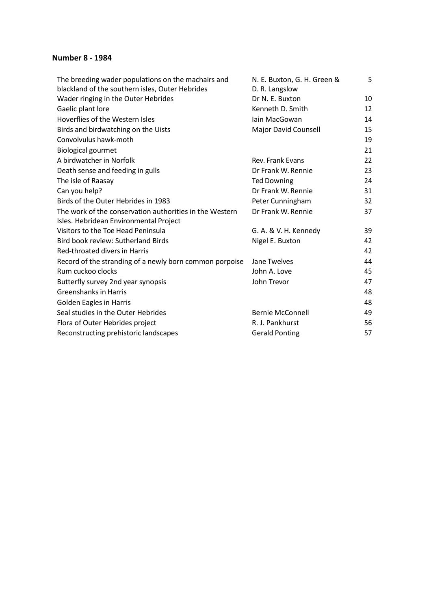#### **Number 8 - 1984**

| The breeding wader populations on the machairs and      | N. E. Buxton, G. H. Green &       | 5  |
|---------------------------------------------------------|-----------------------------------|----|
| blackland of the southern isles, Outer Hebrides         | D. R. Langslow<br>Dr N. E. Buxton |    |
| Wader ringing in the Outer Hebrides                     |                                   | 10 |
| Gaelic plant lore                                       | Kenneth D. Smith                  | 12 |
| Hoverflies of the Western Isles                         | lain MacGowan                     | 14 |
| Birds and birdwatching on the Uists                     | <b>Major David Counsell</b>       | 15 |
| Convolvulus hawk-moth                                   |                                   | 19 |
| <b>Biological gourmet</b>                               |                                   | 21 |
| A birdwatcher in Norfolk                                | Rev. Frank Evans                  | 22 |
| Death sense and feeding in gulls                        | Dr Frank W. Rennie                | 23 |
| The isle of Raasay                                      | <b>Ted Downing</b>                | 24 |
| Can you help?                                           | Dr Frank W. Rennie                | 31 |
| Birds of the Outer Hebrides in 1983                     | Peter Cunningham                  | 32 |
| The work of the conservation authorities in the Western | Dr Frank W. Rennie                | 37 |
| Isles. Hebridean Environmental Project                  |                                   |    |
| Visitors to the Toe Head Peninsula                      | G. A. & V. H. Kennedy             | 39 |
| Bird book review: Sutherland Birds                      | Nigel E. Buxton                   | 42 |
| Red-throated divers in Harris                           |                                   | 42 |
| Record of the stranding of a newly born common porpoise | Jane Twelves                      | 44 |
| Rum cuckoo clocks                                       | John A. Love                      | 45 |
| Butterfly survey 2nd year synopsis                      | John Trevor                       | 47 |
| <b>Greenshanks in Harris</b>                            |                                   | 48 |
| <b>Golden Eagles in Harris</b>                          |                                   | 48 |
| Seal studies in the Outer Hebrides                      | <b>Bernie McConnell</b>           | 49 |
| Flora of Outer Hebrides project                         | R. J. Pankhurst                   | 56 |
| Reconstructing prehistoric landscapes                   | <b>Gerald Ponting</b>             | 57 |
|                                                         |                                   |    |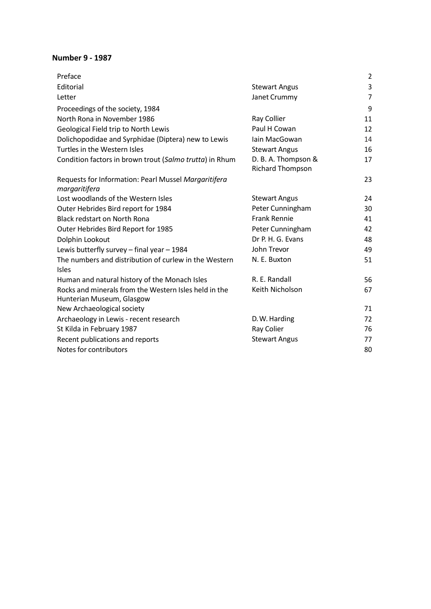#### **Number 9 - 1987**

| Preface                                                                            |                                                | $\overline{2}$ |
|------------------------------------------------------------------------------------|------------------------------------------------|----------------|
| Editorial                                                                          | <b>Stewart Angus</b>                           | $\mathsf 3$    |
| Letter                                                                             | Janet Crummy                                   | $\overline{7}$ |
| Proceedings of the society, 1984                                                   |                                                | 9              |
| North Rona in November 1986                                                        | Ray Collier                                    | 11             |
| Geological Field trip to North Lewis                                               | Paul H Cowan                                   | 12             |
| Dolichopodidae and Syrphidae (Diptera) new to Lewis                                | lain MacGowan                                  | 14             |
| Turtles in the Western Isles                                                       | <b>Stewart Angus</b>                           | 16             |
| Condition factors in brown trout (Salmo trutta) in Rhum                            | D. B. A. Thompson &<br><b>Richard Thompson</b> | 17             |
| Requests for Information: Pearl Mussel Margaritifera<br>margaritifera              |                                                | 23             |
| Lost woodlands of the Western Isles                                                | <b>Stewart Angus</b>                           | 24             |
| Outer Hebrides Bird report for 1984                                                | Peter Cunningham                               | 30             |
| <b>Black redstart on North Rona</b>                                                | <b>Frank Rennie</b>                            | 41             |
| Outer Hebrides Bird Report for 1985                                                | Peter Cunningham                               | 42             |
| Dolphin Lookout                                                                    | Dr P. H. G. Evans                              | 48             |
| Lewis butterfly survey - final year - 1984                                         | John Trevor                                    | 49             |
| The numbers and distribution of curlew in the Western<br><b>Isles</b>              | N. E. Buxton                                   | 51             |
| Human and natural history of the Monach Isles                                      | R. E. Randall                                  | 56             |
| Rocks and minerals from the Western Isles held in the<br>Hunterian Museum, Glasgow | Keith Nicholson                                | 67             |
| New Archaeological society                                                         |                                                | 71             |
| Archaeology in Lewis - recent research                                             | D.W. Harding                                   | 72             |
| St Kilda in February 1987                                                          | Ray Colier                                     | 76             |
| Recent publications and reports                                                    | <b>Stewart Angus</b>                           | 77             |
| Notes for contributors                                                             |                                                | 80             |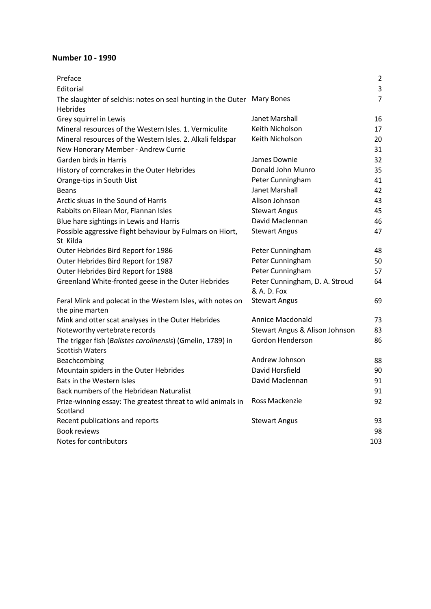#### **Number 10 - 1990**

| Preface                                                                              |                                               | $\overline{2}$ |
|--------------------------------------------------------------------------------------|-----------------------------------------------|----------------|
| Editorial                                                                            |                                               | 3              |
| The slaughter of selchis: notes on seal hunting in the Outer                         | <b>Mary Bones</b>                             | $\overline{7}$ |
| <b>Hebrides</b>                                                                      |                                               |                |
| Grey squirrel in Lewis                                                               | Janet Marshall                                | 16             |
| Mineral resources of the Western Isles. 1. Vermiculite                               | Keith Nicholson                               | 17             |
| Mineral resources of the Western Isles. 2. Alkali feldspar                           | Keith Nicholson                               | 20             |
| New Honorary Member - Andrew Currie                                                  |                                               | 31             |
| Garden birds in Harris                                                               | James Downie                                  | 32             |
| History of corncrakes in the Outer Hebrides                                          | Donald John Munro                             | 35             |
| Orange-tips in South Uist                                                            | Peter Cunningham                              | 41             |
| <b>Beans</b>                                                                         | Janet Marshall                                | 42             |
| Arctic skuas in the Sound of Harris                                                  | Alison Johnson                                | 43             |
| Rabbits on Eilean Mor, Flannan Isles                                                 | <b>Stewart Angus</b>                          | 45             |
| Blue hare sightings in Lewis and Harris                                              | David Maclennan                               | 46             |
| Possible aggressive flight behaviour by Fulmars on Hiort,<br>St Kilda                | <b>Stewart Angus</b>                          | 47             |
| Outer Hebrides Bird Report for 1986                                                  | Peter Cunningham                              | 48             |
| Outer Hebrides Bird Report for 1987                                                  | Peter Cunningham                              | 50             |
| Outer Hebrides Bird Report for 1988                                                  | Peter Cunningham                              | 57             |
| Greenland White-fronted geese in the Outer Hebrides                                  | Peter Cunningham, D. A. Stroud<br>& A. D. Fox | 64             |
| Feral Mink and polecat in the Western Isles, with notes on<br>the pine marten        | <b>Stewart Angus</b>                          | 69             |
| Mink and otter scat analyses in the Outer Hebrides                                   | Annice Macdonald                              | 73             |
| Noteworthy vertebrate records                                                        | Stewart Angus & Alison Johnson                | 83             |
| The trigger fish (Balistes carolinensis) (Gmelin, 1789) in<br><b>Scottish Waters</b> | Gordon Henderson                              | 86             |
| Beachcombing                                                                         | Andrew Johnson                                | 88             |
| Mountain spiders in the Outer Hebrides                                               | David Horsfield                               | 90             |
| Bats in the Western Isles                                                            | David Maclennan                               | 91             |
| Back numbers of the Hebridean Naturalist                                             |                                               | 91             |
| Prize-winning essay: The greatest threat to wild animals in<br>Scotland              | Ross Mackenzie                                | 92             |
| Recent publications and reports                                                      | <b>Stewart Angus</b>                          | 93             |
| <b>Book reviews</b>                                                                  |                                               | 98             |
| Notes for contributors                                                               |                                               | 103            |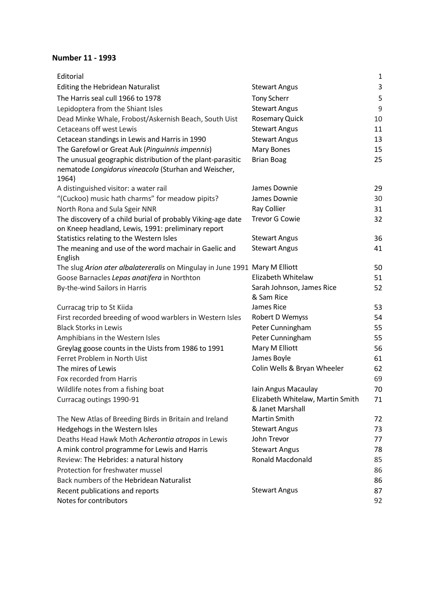### **Number 11 - 1993**

| Editorial                                                                                          |                                  | 1        |
|----------------------------------------------------------------------------------------------------|----------------------------------|----------|
| <b>Editing the Hebridean Naturalist</b>                                                            | <b>Stewart Angus</b>             | 3        |
| The Harris seal cull 1966 to 1978                                                                  | <b>Tony Scherr</b>               | 5        |
| Lepidoptera from the Shiant Isles                                                                  | <b>Stewart Angus</b>             | 9        |
| Dead Minke Whale, Frobost/Askernish Beach, South Uist                                              | <b>Rosemary Quick</b>            | 10       |
| <b>Cetaceans off west Lewis</b>                                                                    | <b>Stewart Angus</b>             | 11       |
| Cetacean standings in Lewis and Harris in 1990                                                     | <b>Stewart Angus</b>             | 13       |
| The Garefowl or Great Auk (Pinguinnis impennis)                                                    | Mary Bones                       | 15       |
| The unusual geographic distribution of the plant-parasitic                                         | <b>Brian Boag</b>                | 25       |
| nematode Longidorus vineacola (Sturhan and Weischer,<br>1964)                                      |                                  |          |
| A distinguished visitor: a water rail                                                              | James Downie                     | 29       |
| "(Cuckoo) music hath charms" for meadow pipits?                                                    | James Downie                     | 30       |
| North Rona and Sula Sgeir NNR                                                                      | Ray Collier                      | 31       |
| The discovery of a child burial of probably Viking-age date                                        | <b>Trevor G Cowie</b>            | 32       |
| on Kneep headland, Lewis, 1991: preliminary report                                                 |                                  |          |
| Statistics relating to the Western Isles                                                           | <b>Stewart Angus</b>             | 36       |
| The meaning and use of the word machair in Gaelic and                                              | <b>Stewart Angus</b>             | 41       |
| English                                                                                            |                                  |          |
| The slug Arion ater albalatereralis on Mingulay in June 1991 Mary M Elliott                        |                                  | 50       |
| Goose Barnacles Lepas anatifera in Northton                                                        | Elizabeth Whitelaw               | 51       |
| By-the-wind Sailors in Harris                                                                      | Sarah Johnson, James Rice        | 52       |
|                                                                                                    | & Sam Rice                       |          |
| Curracag trip to St Kiida                                                                          | James Rice                       | 53       |
| First recorded breeding of wood warblers in Western Isles                                          | Robert D Wemyss                  | 54       |
| <b>Black Storks in Lewis</b>                                                                       | Peter Cunningham                 | 55       |
| Amphibians in the Western Isles                                                                    | Peter Cunningham                 | 55       |
| Greylag goose counts in the Uists from 1986 to 1991                                                | Mary M Elliott                   | 56       |
| Ferret Problem in North Uist                                                                       | James Boyle                      | 61       |
| The mires of Lewis                                                                                 | Colin Wells & Bryan Wheeler      | 62       |
| Fox recorded from Harris                                                                           |                                  | 69       |
| Wildlife notes from a fishing boat                                                                 | Iain Angus Macaulay              | 70       |
| Curracag outings 1990-91                                                                           | Elizabeth Whitelaw, Martin Smith | 71       |
|                                                                                                    | & Janet Marshall<br>Martin Smith |          |
| The New Atlas of Breeding Birds in Britain and Ireland                                             | <b>Stewart Angus</b>             | 72<br>73 |
| Hedgehogs in the Western Isles                                                                     | John Trevor                      | 77       |
| Deaths Head Hawk Moth Acherontia atropos in Lewis<br>A mink control programme for Lewis and Harris | <b>Stewart Angus</b>             | 78       |
| Review: The Hebrides: a natural history                                                            | <b>Ronald Macdonald</b>          | 85       |
| Protection for freshwater mussel                                                                   |                                  | 86       |
| Back numbers of the Hebridean Naturalist                                                           |                                  | 86       |
| Recent publications and reports                                                                    | <b>Stewart Angus</b>             | 87       |
| Notes for contributors                                                                             |                                  | 92       |
|                                                                                                    |                                  |          |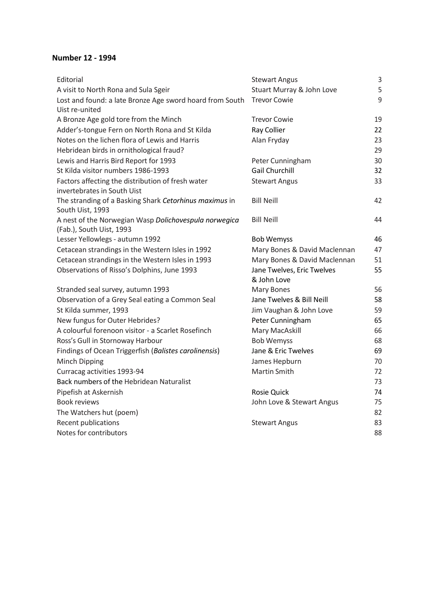### **Number 12 - 1994**

| Editorial                                                                         | <b>Stewart Angus</b>         | 3  |
|-----------------------------------------------------------------------------------|------------------------------|----|
| A visit to North Rona and Sula Sgeir                                              | Stuart Murray & John Love    | 5  |
| Lost and found: a late Bronze Age sword hoard from South                          | <b>Trevor Cowie</b>          | 9  |
| Uist re-united                                                                    |                              |    |
| A Bronze Age gold tore from the Minch                                             | <b>Trevor Cowie</b>          | 19 |
| Adder's-tongue Fern on North Rona and St Kilda                                    | Ray Collier                  | 22 |
| Notes on the lichen flora of Lewis and Harris                                     | Alan Fryday                  | 23 |
| Hebridean birds in ornithological fraud?                                          |                              | 29 |
| Lewis and Harris Bird Report for 1993                                             | Peter Cunningham             | 30 |
| St Kilda visitor numbers 1986-1993                                                | <b>Gail Churchill</b>        | 32 |
| Factors affecting the distribution of fresh water<br>invertebrates in South Uist  | <b>Stewart Angus</b>         | 33 |
| The stranding of a Basking Shark Cetorhinus maximus in<br>South Uist, 1993        | <b>Bill Neill</b>            | 42 |
| A nest of the Norwegian Wasp Dolichovespula norwegica<br>(Fab.), South Uist, 1993 | <b>Bill Neill</b>            | 44 |
| Lesser Yellowlegs - autumn 1992                                                   | <b>Bob Wemyss</b>            | 46 |
| Cetacean strandings in the Western Isles in 1992                                  | Mary Bones & David Maclennan | 47 |
| Cetacean strandings in the Western Isles in 1993                                  | Mary Bones & David Maclennan | 51 |
| Observations of Risso's Dolphins, June 1993                                       | Jane Twelves, Eric Twelves   | 55 |
|                                                                                   | & John Love                  |    |
| Stranded seal survey, autumn 1993                                                 | <b>Mary Bones</b>            | 56 |
| Observation of a Grey Seal eating a Common Seal                                   | Jane Twelves & Bill Neill    | 58 |
| St Kilda summer, 1993                                                             | Jim Vaughan & John Love      | 59 |
| New fungus for Outer Hebrides?                                                    | Peter Cunningham             | 65 |
| A colourful forenoon visitor - a Scarlet Rosefinch                                | Mary MacAskill               | 66 |
| Ross's Gull in Stornoway Harbour                                                  | <b>Bob Wemyss</b>            | 68 |
| Findings of Ocean Triggerfish (Balistes carolinensis)                             | Jane & Eric Twelves          | 69 |
| Minch Dipping                                                                     | James Hepburn                | 70 |
| Curracag activities 1993-94                                                       | Martin Smith                 | 72 |
| Back numbers of the Hebridean Naturalist                                          |                              | 73 |
| Pipefish at Askernish                                                             | <b>Rosie Quick</b>           | 74 |
| <b>Book reviews</b>                                                               | John Love & Stewart Angus    | 75 |
| The Watchers hut (poem)                                                           |                              | 82 |
| Recent publications                                                               | <b>Stewart Angus</b>         | 83 |
| Notes for contributors                                                            |                              | 88 |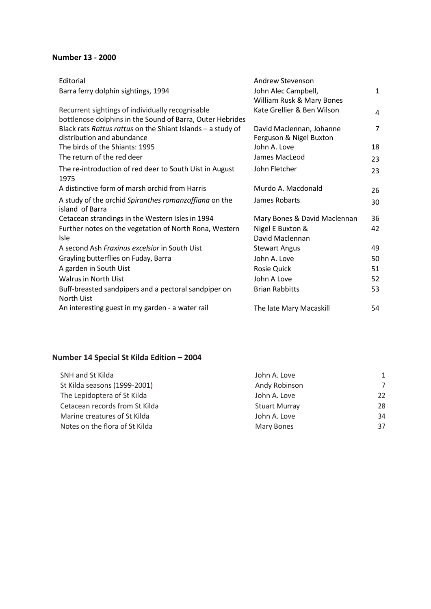### **Number 13 - 2000**

| Editorial                                                   | Andrew Stevenson             |                |
|-------------------------------------------------------------|------------------------------|----------------|
| Barra ferry dolphin sightings, 1994                         | John Alec Campbell,          | $\mathbf{1}$   |
|                                                             | William Rusk & Mary Bones    |                |
| Recurrent sightings of individually recognisable            | Kate Grellier & Ben Wilson   | 4              |
| bottlenose dolphins in the Sound of Barra, Outer Hebrides   |                              |                |
| Black rats Rattus rattus on the Shiant Islands - a study of | David Maclennan, Johanne     | $\overline{7}$ |
| distribution and abundance                                  | Ferguson & Nigel Buxton      |                |
| The birds of the Shiants: 1995                              | John A. Love                 | 18             |
| The return of the red deer                                  | James MacLeod                | 23             |
| The re-introduction of red deer to South Uist in August     | John Fletcher                | 23             |
| 1975                                                        |                              |                |
| A distinctive form of marsh orchid from Harris              | Murdo A. Macdonald           | 26             |
| A study of the orchid Spiranthes romanzoffiana on the       | James Robarts                | 30             |
| island of Barra                                             |                              |                |
| Cetacean strandings in the Western Isles in 1994            | Mary Bones & David Maclennan | 36             |
| Further notes on the vegetation of North Rona, Western      | Nigel E Buxton &             | 42             |
| <b>Isle</b>                                                 | David Maclennan              |                |
| A second Ash Fraxinus excelsior in South Uist               | <b>Stewart Angus</b>         | 49             |
| Grayling butterflies on Fuday, Barra                        | John A. Love                 | 50             |
| A garden in South Uist                                      | Rosie Quick                  | 51             |
| <b>Walrus in North Uist</b>                                 | John A Love                  | 52             |
| Buff-breasted sandpipers and a pectoral sandpiper on        | <b>Brian Rabbitts</b>        | 53             |
| <b>North Uist</b>                                           |                              |                |
| An interesting guest in my garden - a water rail            | The late Mary Macaskill      | 54             |

## **Number 14 Special St Kilda Edition – 2004**

| SNH and St Kilda               | John A. Love         | $\mathbf{1}$ |
|--------------------------------|----------------------|--------------|
| St Kilda seasons (1999-2001)   | Andy Robinson        | 7            |
| The Lepidoptera of St Kilda    | John A. Love         | 22           |
| Cetacean records from St Kilda | <b>Stuart Murray</b> | 28           |
| Marine creatures of St Kilda   | John A. Love         | 34           |
| Notes on the flora of St Kilda | Mary Bones           | 37           |
|                                |                      |              |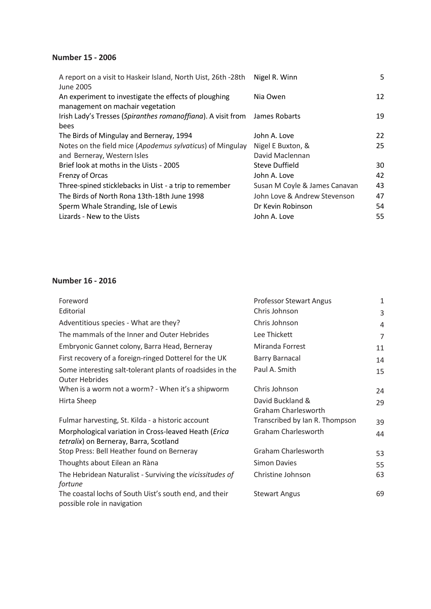### **Number 15 - 2006**

| Nigel R. Winn                 | 5  |
|-------------------------------|----|
| Nia Owen                      | 12 |
|                               |    |
| James Robarts                 | 19 |
|                               |    |
| John A. Love                  | 22 |
| Nigel E Buxton, &             | 25 |
| David Maclennan               |    |
| Steve Duffield                | 30 |
| John A. Love                  | 42 |
| Susan M Coyle & James Canavan | 43 |
| John Love & Andrew Stevenson  | 47 |
| Dr Kevin Robinson             | 54 |
| John A. Love                  | 55 |
|                               |    |

#### **Number 16 - 2016**

| Foreword                                                                                       | <b>Professor Stewart Angus</b>                 | 1              |
|------------------------------------------------------------------------------------------------|------------------------------------------------|----------------|
| Editorial                                                                                      | Chris Johnson                                  | 3              |
| Adventitious species - What are they?                                                          | Chris Johnson                                  | 4              |
| The mammals of the Inner and Outer Hebrides                                                    | Lee Thickett                                   | $\overline{7}$ |
| Embryonic Gannet colony, Barra Head, Berneray                                                  | Miranda Forrest                                | 11             |
| First recovery of a foreign-ringed Dotterel for the UK                                         | <b>Barry Barnacal</b>                          | 14             |
| Some interesting salt-tolerant plants of roadsides in the<br><b>Outer Hebrides</b>             | Paul A. Smith                                  | 15             |
| When is a worm not a worm? - When it's a shipworm                                              | Chris Johnson                                  | 24             |
| Hirta Sheep                                                                                    | David Buckland &<br><b>Graham Charlesworth</b> | 29             |
| Fulmar harvesting, St. Kilda - a historic account                                              | Transcribed by Ian R. Thompson                 | 39             |
| Morphological variation in Cross-leaved Heath (Erica<br>tetralix) on Berneray, Barra, Scotland | <b>Graham Charlesworth</b>                     | 44             |
| Stop Press: Bell Heather found on Berneray                                                     | <b>Graham Charlesworth</b>                     | 53             |
| Thoughts about Eilean an Ràna                                                                  | Simon Davies                                   | 55             |
| The Hebridean Naturalist - Surviving the vicissitudes of<br>fortune                            | Christine Johnson                              | 63             |
| The coastal lochs of South Uist's south end, and their<br>possible role in navigation          | <b>Stewart Angus</b>                           | 69             |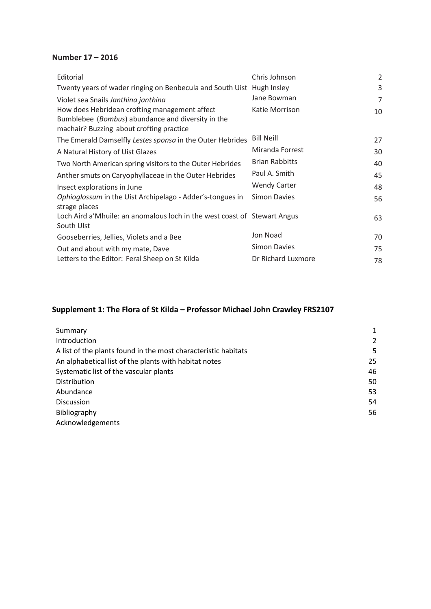### **Number 17 – 2016**

| Editorial                                                                                                                                      | Chris Johnson         | 2  |
|------------------------------------------------------------------------------------------------------------------------------------------------|-----------------------|----|
| Twenty years of wader ringing on Benbecula and South Uist Hugh Insley                                                                          |                       | 3  |
| Violet sea Snails Janthina janthina                                                                                                            | Jane Bowman           | 7  |
| How does Hebridean crofting management affect<br>Bumblebee (Bombus) abundance and diversity in the<br>machair? Buzzing about crofting practice | Katie Morrison        | 10 |
| The Emerald Damselfly Lestes sponsa in the Outer Hebrides                                                                                      | <b>Bill Neill</b>     | 27 |
| A Natural History of Uist Glazes                                                                                                               | Miranda Forrest       | 30 |
| Two North American spring visitors to the Outer Hebrides                                                                                       | <b>Brian Rabbitts</b> | 40 |
| Anther smuts on Caryophyllaceae in the Outer Hebrides                                                                                          | Paul A. Smith         | 45 |
| Insect explorations in June                                                                                                                    | <b>Wendy Carter</b>   | 48 |
| Ophioglossum in the Uist Archipelago - Adder's-tongues in<br>strage places                                                                     | <b>Simon Davies</b>   | 56 |
| Loch Aird a' Mhuile: an anomalous loch in the west coast of Stewart Angus<br>South Ulst                                                        |                       | 63 |
| Gooseberries, Jellies, Violets and a Bee                                                                                                       | Jon Noad              | 70 |
| Out and about with my mate, Dave                                                                                                               | <b>Simon Davies</b>   | 75 |
| Letters to the Editor: Feral Sheep on St Kilda                                                                                                 | Dr Richard Luxmore    | 78 |

# **Supplement 1: The Flora of St Kilda – Professor Michael John Crawley FRS2107**

| Summary                                                        | 1  |
|----------------------------------------------------------------|----|
| Introduction                                                   | 2  |
| A list of the plants found in the most characteristic habitats | 5. |
| An alphabetical list of the plants with habitat notes          | 25 |
| Systematic list of the vascular plants                         | 46 |
| Distribution                                                   | 50 |
| Abundance                                                      | 53 |
| <b>Discussion</b>                                              | 54 |
| Bibliography                                                   | 56 |
| Acknowledgements                                               |    |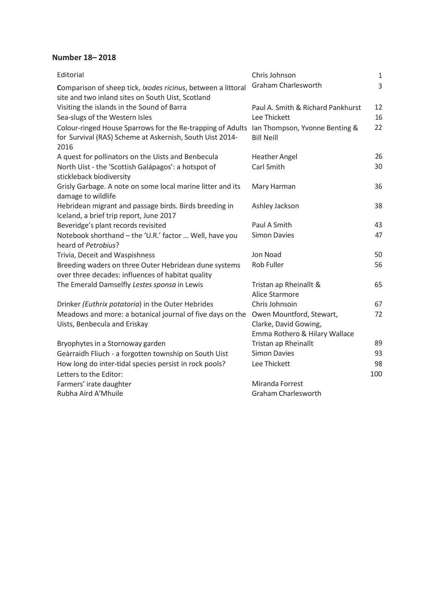#### **Number 18– 2018**

| Editorial                                                                                                                      | Chris Johnson                                       | $1\,$ |
|--------------------------------------------------------------------------------------------------------------------------------|-----------------------------------------------------|-------|
| Comparison of sheep tick, Ixodes ricinus, between a littoral<br>site and two inland sites on South Uist, Scotland              | <b>Graham Charlesworth</b>                          | 3     |
| Visiting the islands in the Sound of Barra                                                                                     | Paul A. Smith & Richard Pankhurst                   | 12    |
| Sea-slugs of the Western Isles                                                                                                 | Lee Thickett                                        | 16    |
| Colour-ringed House Sparrows for the Re-trapping of Adults<br>for Survival (RAS) Scheme at Askernish, South Uist 2014-<br>2016 | Ian Thompson, Yvonne Benting &<br><b>Bill Neill</b> | 22    |
| A quest for pollinators on the Uists and Benbecula                                                                             | <b>Heather Angel</b>                                | 26    |
| North Uist - the 'Scottish Galápagos': a hotspot of<br>stickleback biodiversity                                                | Carl Smith                                          | 30    |
| Grisly Garbage. A note on some local marine litter and its<br>damage to wildlife                                               | Mary Harman                                         | 36    |
| Hebridean migrant and passage birds. Birds breeding in<br>Iceland, a brief trip report, June 2017                              | Ashley Jackson                                      | 38    |
| Beveridge's plant records revisited                                                                                            | Paul A Smith                                        | 43    |
| Notebook shorthand - the 'U.R.' factor  Well, have you<br>heard of Petrobius?                                                  | <b>Simon Davies</b>                                 | 47    |
| Trivia, Deceit and Waspishness                                                                                                 | Jon Noad                                            | 50    |
| Breeding waders on three Outer Hebridean dune systems<br>over three decades: influences of habitat quality                     | <b>Rob Fuller</b>                                   | 56    |
| The Emerald Damselfly Lestes sponsa in Lewis                                                                                   | Tristan ap Rheinallt &<br>Alice Starmore            | 65    |
| Drinker (Euthrix potatoria) in the Outer Hebrides                                                                              | Chris Johnsoin                                      | 67    |
| Meadows and more: a botanical journal of five days on the                                                                      | Owen Mountford, Stewart,                            | 72    |
| Uists, Benbecula and Eriskay                                                                                                   | Clarke, David Gowing,                               |       |
|                                                                                                                                | Emma Rothero & Hilary Wallace                       |       |
| Bryophytes in a Stornoway garden                                                                                               | Tristan ap Rheinallt                                | 89    |
| Geàrraidh Fliuch - a forgotten township on South Uist                                                                          | <b>Simon Davies</b>                                 | 93    |
| How long do inter-tidal species persist in rock pools?                                                                         | Lee Thickett                                        | 98    |
| Letters to the Editor:                                                                                                         |                                                     | 100   |
| Farmers' irate daughter                                                                                                        | Miranda Forrest                                     |       |
| Rubha Aird A'Mhuile                                                                                                            | <b>Graham Charlesworth</b>                          |       |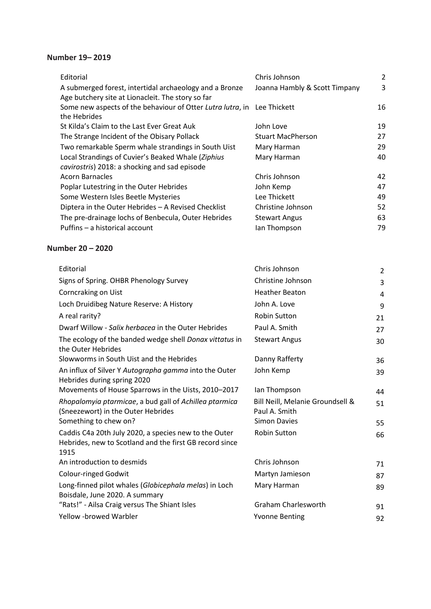#### **Number 19– 2019**

| Editorial                                                                                                    | Chris Johnson                 | 2  |
|--------------------------------------------------------------------------------------------------------------|-------------------------------|----|
| A submerged forest, intertidal archaeology and a Bronze<br>Age butchery site at Lionacleit. The story so far | Joanna Hambly & Scott Timpany | 3  |
| Some new aspects of the behaviour of Otter Lutra lutra, in Lee Thickett                                      |                               | 16 |
| the Hebrides                                                                                                 |                               |    |
| St Kilda's Claim to the Last Ever Great Auk                                                                  | John Love                     | 19 |
| The Strange Incident of the Obisary Pollack                                                                  | <b>Stuart MacPherson</b>      | 27 |
| Two remarkable Sperm whale strandings in South Uist                                                          | Mary Harman                   | 29 |
| Local Strandings of Cuvier's Beaked Whale (Ziphius                                                           | Mary Harman                   | 40 |
| cavirostris) 2018: a shocking and sad episode                                                                |                               |    |
| Acorn Barnacles                                                                                              | Chris Johnson                 | 42 |
| Poplar Lutestring in the Outer Hebrides                                                                      | John Kemp                     | 47 |
| Some Western Isles Beetle Mysteries                                                                          | Lee Thickett                  | 49 |
| Diptera in the Outer Hebrides - A Revised Checklist                                                          | Christine Johnson             | 52 |
| The pre-drainage lochs of Benbecula, Outer Hebrides                                                          | <b>Stewart Angus</b>          | 63 |
| Puffins - a historical account                                                                               | lan Thompson                  | 79 |

#### **Number 20 – 2020**

| Editorial                                                                                                                | Chris Johnson                                     | $\overline{2}$ |
|--------------------------------------------------------------------------------------------------------------------------|---------------------------------------------------|----------------|
| Signs of Spring. OHBR Phenology Survey                                                                                   | Christine Johnson                                 | 3              |
| Corncraking on Uist                                                                                                      | <b>Heather Beaton</b>                             | 4              |
| Loch Druidibeg Nature Reserve: A History                                                                                 | John A. Love                                      | 9              |
| A real rarity?                                                                                                           | <b>Robin Sutton</b>                               | 21             |
| Dwarf Willow - Salix herbacea in the Outer Hebrides                                                                      | Paul A. Smith                                     | 27             |
| The ecology of the banded wedge shell Donax vittatus in<br>the Outer Hebrides                                            | <b>Stewart Angus</b>                              | 30             |
| Slowworms in South Uist and the Hebrides                                                                                 | Danny Rafferty                                    | 36             |
| An influx of Silver Y Autographa gamma into the Outer<br>Hebrides during spring 2020                                     | John Kemp                                         | 39             |
| Movements of House Sparrows in the Uists, 2010-2017                                                                      | Ian Thompson                                      | 44             |
| Rhopalomyia ptarmicae, a bud gall of Achillea ptarmica<br>(Sneezewort) in the Outer Hebrides                             | Bill Neill, Melanie Groundsell &<br>Paul A. Smith | 51             |
| Something to chew on?                                                                                                    | <b>Simon Davies</b>                               | 55             |
| Caddis C4a 20th July 2020, a species new to the Outer<br>Hebrides, new to Scotland and the first GB record since<br>1915 | <b>Robin Sutton</b>                               | 66             |
| An introduction to desmids                                                                                               | Chris Johnson                                     | 71             |
| Colour-ringed Godwit                                                                                                     | Martyn Jamieson                                   | 87             |
| Long-finned pilot whales (Globicephala melas) in Loch<br>Boisdale, June 2020. A summary                                  | Mary Harman                                       | 89             |
| "Rats!" - Ailsa Craig versus The Shiant Isles                                                                            | <b>Graham Charlesworth</b>                        | 91             |
| <b>Yellow -browed Warbler</b>                                                                                            | <b>Yvonne Benting</b>                             | 92             |